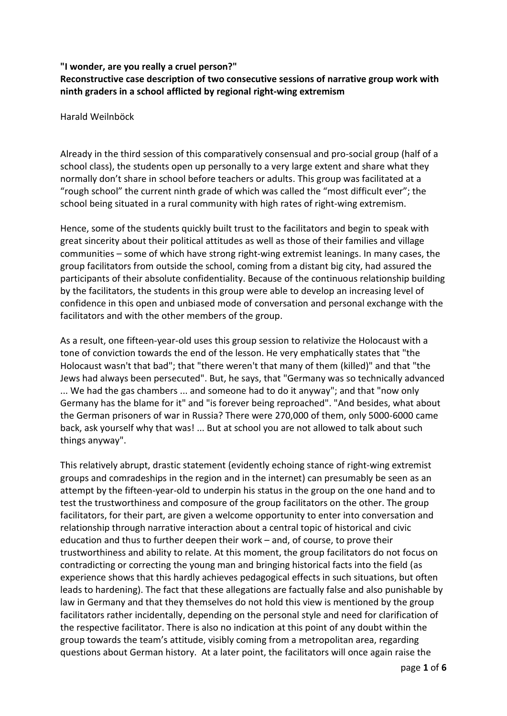## **"I wonder, are you really a cruel person?"**

**Reconstructive case description of two consecutive sessions of narrative group work with ninth graders in a school afflicted by regional right-wing extremism**

Harald Weilnböck

Already in the third session of this comparatively consensual and pro-social group (half of a school class), the students open up personally to a very large extent and share what they normally don't share in school before teachers or adults. This group was facilitated at a "rough school" the current ninth grade of which was called the "most difficult ever"; the school being situated in a rural community with high rates of right-wing extremism.

Hence, some of the students quickly built trust to the facilitators and begin to speak with great sincerity about their political attitudes as well as those of their families and village communities – some of which have strong right-wing extremist leanings. In many cases, the group facilitators from outside the school, coming from a distant big city, had assured the participants of their absolute confidentiality. Because of the continuous relationship building by the facilitators, the students in this group were able to develop an increasing level of confidence in this open and unbiased mode of conversation and personal exchange with the facilitators and with the other members of the group.

As a result, one fifteen-year-old uses this group session to relativize the Holocaust with a tone of conviction towards the end of the lesson. He very emphatically states that "the Holocaust wasn't that bad"; that "there weren't that many of them (killed)" and that "the Jews had always been persecuted". But, he says, that "Germany was so technically advanced ... We had the gas chambers ... and someone had to do it anyway"; and that "now only Germany has the blame for it" and "is forever being reproached". "And besides, what about the German prisoners of war in Russia? There were 270,000 of them, only 5000-6000 came back, ask yourself why that was! ... But at school you are not allowed to talk about such things anyway".

This relatively abrupt, drastic statement (evidently echoing stance of right-wing extremist groups and comradeships in the region and in the internet) can presumably be seen as an attempt by the fifteen-year-old to underpin his status in the group on the one hand and to test the trustworthiness and composure of the group facilitators on the other. The group facilitators, for their part, are given a welcome opportunity to enter into conversation and relationship through narrative interaction about a central topic of historical and civic education and thus to further deepen their work – and, of course, to prove their trustworthiness and ability to relate. At this moment, the group facilitators do not focus on contradicting or correcting the young man and bringing historical facts into the field (as experience shows that this hardly achieves pedagogical effects in such situations, but often leads to hardening). The fact that these allegations are factually false and also punishable by law in Germany and that they themselves do not hold this view is mentioned by the group facilitators rather incidentally, depending on the personal style and need for clarification of the respective facilitator. There is also no indication at this point of any doubt within the group towards the team's attitude, visibly coming from a metropolitan area, regarding questions about German history. At a later point, the facilitators will once again raise the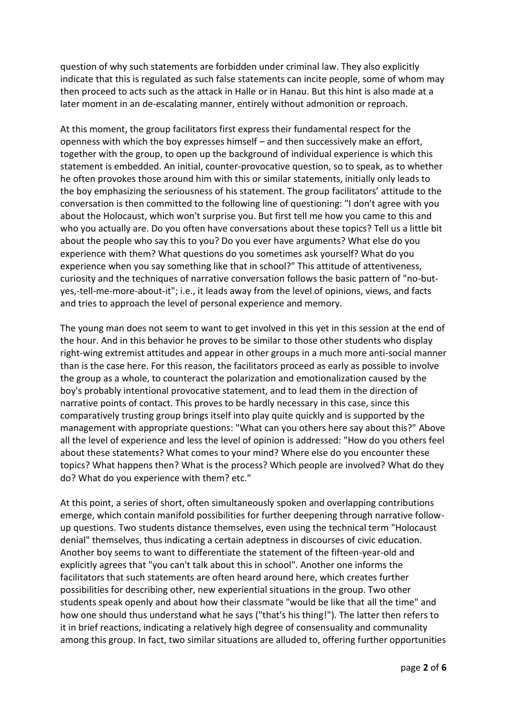question of why such statements are forbidden under criminal law. They also explicitly indicate that this is regulated as such false statements can incite people, some of whom may then proceed to acts such as the attack in Halle or in Hanau. But this hint is also made at a later moment in an de-escalating manner, entirely without admonition or reproach.

At this moment, the group facilitators first express their fundamental respect for the openness with which the boy expresses himself – and then successively make an effort, together with the group, to open up the background of individual experience is which this statement is embedded. An initial, counter-provocative question, so to speak, as to whether he often provokes those around him with this or similar statements, initially only leads to the boy emphasizing the seriousness of his statement. The group facilitators' attitude to the conversation is then committed to the following line of questioning: "I don't agree with you about the Holocaust, which won't surprise you. But first tell me how you came to this and who you actually are. Do you often have conversations about these topics? Tell us a little bit about the people who say this to you? Do you ever have arguments? What else do you experience with them? What questions do you sometimes ask yourself? What do you experience when you say something like that in school?" This attitude of attentiveness, curiosity and the techniques of narrative conversation follows the basic pattern of "no-butyes,-tell-me-more-about-it"; i.e., it leads away from the level of opinions, views, and facts and tries to approach the level of personal experience and memory.

The young man does not seem to want to get involved in this yet in this session at the end of the hour. And in this behavior he proves to be similar to those other students who display right-wing extremist attitudes and appear in other groups in a much more anti-social manner than is the case here. For this reason, the facilitators proceed as early as possible to involve the group as a whole, to counteract the polarization and emotionalization caused by the boy's probably intentional provocative statement, and to lead them in the direction of narrative points of contact. This proves to be hardly necessary in this case, since this comparatively trusting group brings itself into play quite quickly and is supported by the management with appropriate questions: "What can you others here say about this?" Above all the level of experience and less the level of opinion is addressed: "How do you others feel about these statements? What comes to your mind? Where else do you encounter these topics? What happens then? What is the process? Which people are involved? What do they do? What do you experience with them? etc."

At this point, a series of short, often simultaneously spoken and overlapping contributions emerge, which contain manifold possibilities for further deepening through narrative followup questions. Two students distance themselves, even using the technical term "Holocaust denial" themselves, thus indicating a certain adeptness in discourses of civic education. Another boy seems to want to differentiate the statement of the fifteen-year-old and explicitly agrees that "you can't talk about this in school". Another one informs the facilitators that such statements are often heard around here, which creates further possibilities for describing other, new experiential situations in the group. Two other students speak openly and about how their classmate "would be like that all the time" and how one should thus understand what he says ("that's his thing!"). The latter then refers to it in brief reactions, indicating a relatively high degree of consensuality and communality among this group. In fact, two similar situations are alluded to, offering further opportunities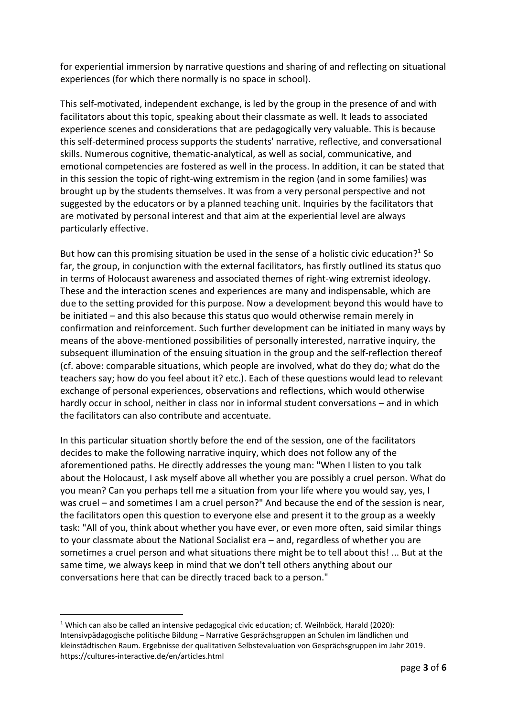for experiential immersion by narrative questions and sharing of and reflecting on situational experiences (for which there normally is no space in school).

This self-motivated, independent exchange, is led by the group in the presence of and with facilitators about this topic, speaking about their classmate as well. It leads to associated experience scenes and considerations that are pedagogically very valuable. This is because this self-determined process supports the students' narrative, reflective, and conversational skills. Numerous cognitive, thematic-analytical, as well as social, communicative, and emotional competencies are fostered as well in the process. In addition, it can be stated that in this session the topic of right-wing extremism in the region (and in some families) was brought up by the students themselves. It was from a very personal perspective and not suggested by the educators or by a planned teaching unit. Inquiries by the facilitators that are motivated by personal interest and that aim at the experiential level are always particularly effective.

But how can this promising situation be used in the sense of a holistic civic education?<sup>1</sup> So far, the group, in conjunction with the external facilitators, has firstly outlined its status quo in terms of Holocaust awareness and associated themes of right-wing extremist ideology. These and the interaction scenes and experiences are many and indispensable, which are due to the setting provided for this purpose. Now a development beyond this would have to be initiated – and this also because this status quo would otherwise remain merely in confirmation and reinforcement. Such further development can be initiated in many ways by means of the above-mentioned possibilities of personally interested, narrative inquiry, the subsequent illumination of the ensuing situation in the group and the self-reflection thereof (cf. above: comparable situations, which people are involved, what do they do; what do the teachers say; how do you feel about it? etc.). Each of these questions would lead to relevant exchange of personal experiences, observations and reflections, which would otherwise hardly occur in school, neither in class nor in informal student conversations – and in which the facilitators can also contribute and accentuate.

In this particular situation shortly before the end of the session, one of the facilitators decides to make the following narrative inquiry, which does not follow any of the aforementioned paths. He directly addresses the young man: "When I listen to you talk about the Holocaust, I ask myself above all whether you are possibly a cruel person. What do you mean? Can you perhaps tell me a situation from your life where you would say, yes, I was cruel – and sometimes I am a cruel person?" And because the end of the session is near, the facilitators open this question to everyone else and present it to the group as a weekly task: "All of you, think about whether you have ever, or even more often, said similar things to your classmate about the National Socialist era – and, regardless of whether you are sometimes a cruel person and what situations there might be to tell about this! ... But at the same time, we always keep in mind that we don't tell others anything about our conversations here that can be directly traced back to a person."

<sup>&</sup>lt;sup>1</sup> Which can also be called an intensive pedagogical civic education; cf. Weilnböck, Harald (2020): Intensivpädagogische politische Bildung – Narrative Gesprächsgruppen an Schulen im ländlichen und kleinstädtischen Raum. Ergebnisse der qualitativen Selbstevaluation von Gesprächsgruppen im Jahr 2019. https://cultures-interactive.de/en/articles.html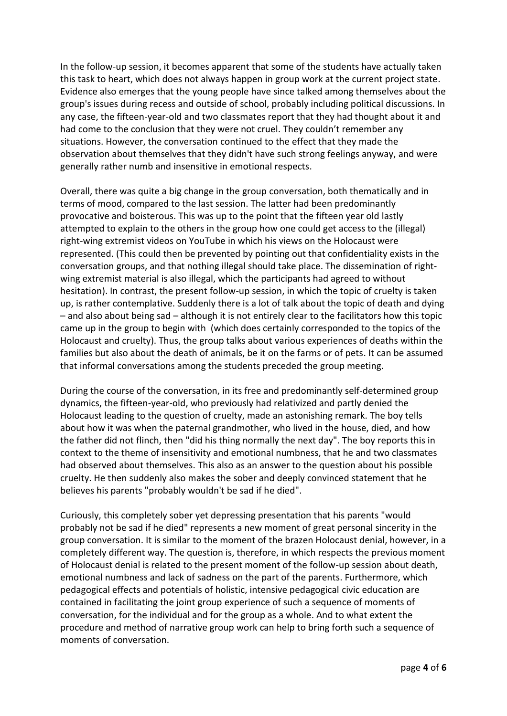In the follow-up session, it becomes apparent that some of the students have actually taken this task to heart, which does not always happen in group work at the current project state. Evidence also emerges that the young people have since talked among themselves about the group's issues during recess and outside of school, probably including political discussions. In any case, the fifteen-year-old and two classmates report that they had thought about it and had come to the conclusion that they were not cruel. They couldn't remember any situations. However, the conversation continued to the effect that they made the observation about themselves that they didn't have such strong feelings anyway, and were generally rather numb and insensitive in emotional respects.

Overall, there was quite a big change in the group conversation, both thematically and in terms of mood, compared to the last session. The latter had been predominantly provocative and boisterous. This was up to the point that the fifteen year old lastly attempted to explain to the others in the group how one could get access to the (illegal) right-wing extremist videos on YouTube in which his views on the Holocaust were represented. (This could then be prevented by pointing out that confidentiality exists in the conversation groups, and that nothing illegal should take place. The dissemination of rightwing extremist material is also illegal, which the participants had agreed to without hesitation). In contrast, the present follow-up session, in which the topic of cruelty is taken up, is rather contemplative. Suddenly there is a lot of talk about the topic of death and dying – and also about being sad – although it is not entirely clear to the facilitators how this topic came up in the group to begin with (which does certainly corresponded to the topics of the Holocaust and cruelty). Thus, the group talks about various experiences of deaths within the families but also about the death of animals, be it on the farms or of pets. It can be assumed that informal conversations among the students preceded the group meeting.

During the course of the conversation, in its free and predominantly self-determined group dynamics, the fifteen-year-old, who previously had relativized and partly denied the Holocaust leading to the question of cruelty, made an astonishing remark. The boy tells about how it was when the paternal grandmother, who lived in the house, died, and how the father did not flinch, then "did his thing normally the next day". The boy reports this in context to the theme of insensitivity and emotional numbness, that he and two classmates had observed about themselves. This also as an answer to the question about his possible cruelty. He then suddenly also makes the sober and deeply convinced statement that he believes his parents "probably wouldn't be sad if he died".

Curiously, this completely sober yet depressing presentation that his parents "would probably not be sad if he died" represents a new moment of great personal sincerity in the group conversation. It is similar to the moment of the brazen Holocaust denial, however, in a completely different way. The question is, therefore, in which respects the previous moment of Holocaust denial is related to the present moment of the follow-up session about death, emotional numbness and lack of sadness on the part of the parents. Furthermore, which pedagogical effects and potentials of holistic, intensive pedagogical civic education are contained in facilitating the joint group experience of such a sequence of moments of conversation, for the individual and for the group as a whole. And to what extent the procedure and method of narrative group work can help to bring forth such a sequence of moments of conversation.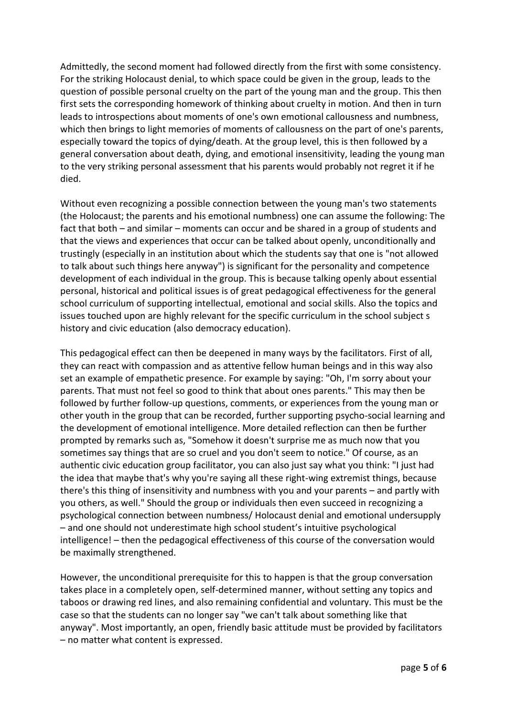Admittedly, the second moment had followed directly from the first with some consistency. For the striking Holocaust denial, to which space could be given in the group, leads to the question of possible personal cruelty on the part of the young man and the group. This then first sets the corresponding homework of thinking about cruelty in motion. And then in turn leads to introspections about moments of one's own emotional callousness and numbness, which then brings to light memories of moments of callousness on the part of one's parents, especially toward the topics of dying/death. At the group level, this is then followed by a general conversation about death, dying, and emotional insensitivity, leading the young man to the very striking personal assessment that his parents would probably not regret it if he died.

Without even recognizing a possible connection between the young man's two statements (the Holocaust; the parents and his emotional numbness) one can assume the following: The fact that both – and similar – moments can occur and be shared in a group of students and that the views and experiences that occur can be talked about openly, unconditionally and trustingly (especially in an institution about which the students say that one is "not allowed to talk about such things here anyway") is significant for the personality and competence development of each individual in the group. This is because talking openly about essential personal, historical and political issues is of great pedagogical effectiveness for the general school curriculum of supporting intellectual, emotional and social skills. Also the topics and issues touched upon are highly relevant for the specific curriculum in the school subject s history and civic education (also democracy education).

This pedagogical effect can then be deepened in many ways by the facilitators. First of all, they can react with compassion and as attentive fellow human beings and in this way also set an example of empathetic presence. For example by saying: "Oh, I'm sorry about your parents. That must not feel so good to think that about ones parents." This may then be followed by further follow-up questions, comments, or experiences from the young man or other youth in the group that can be recorded, further supporting psycho-social learning and the development of emotional intelligence. More detailed reflection can then be further prompted by remarks such as, "Somehow it doesn't surprise me as much now that you sometimes say things that are so cruel and you don't seem to notice." Of course, as an authentic civic education group facilitator, you can also just say what you think: "I just had the idea that maybe that's why you're saying all these right-wing extremist things, because there's this thing of insensitivity and numbness with you and your parents – and partly with you others, as well." Should the group or individuals then even succeed in recognizing a psychological connection between numbness/ Holocaust denial and emotional undersupply – and one should not underestimate high school student's intuitive psychological intelligence! – then the pedagogical effectiveness of this course of the conversation would be maximally strengthened.

However, the unconditional prerequisite for this to happen is that the group conversation takes place in a completely open, self-determined manner, without setting any topics and taboos or drawing red lines, and also remaining confidential and voluntary. This must be the case so that the students can no longer say "we can't talk about something like that anyway". Most importantly, an open, friendly basic attitude must be provided by facilitators – no matter what content is expressed.